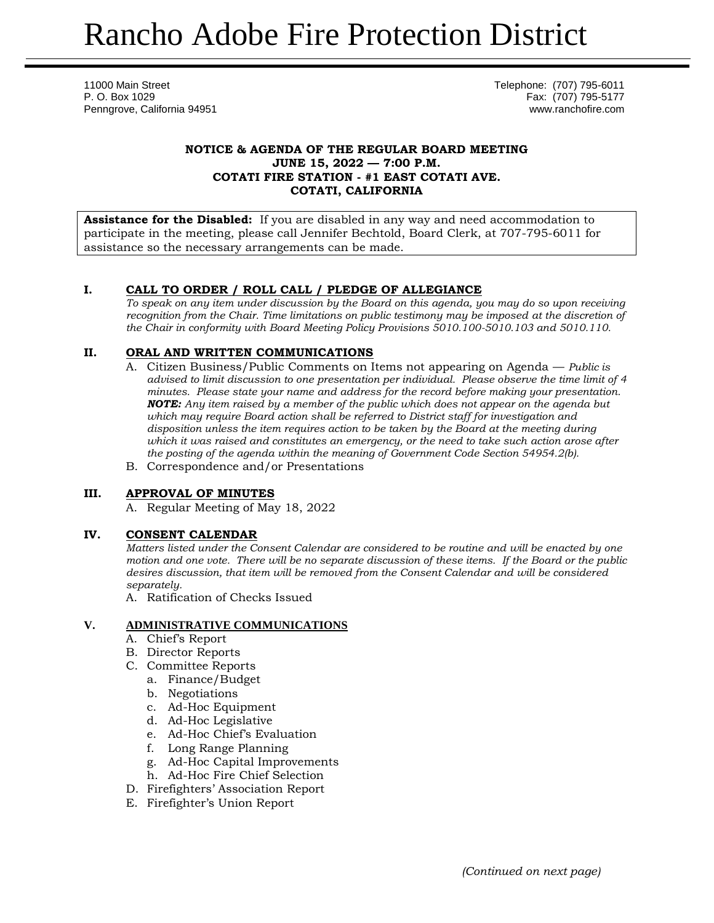11000 Main Street Telephone: (707) 795-6011 P. O. Box 1029 Fax: (707) 795-5177 Penngrove, California 94951 www.ranchofire.com

## **NOTICE & AGENDA OF THE REGULAR BOARD MEETING JUNE 15, 2022 — 7:00 P.M. COTATI FIRE STATION - #1 EAST COTATI AVE. COTATI, CALIFORNIA**

**Assistance for the Disabled:** If you are disabled in any way and need accommodation to participate in the meeting, please call Jennifer Bechtold, Board Clerk, at 707-795-6011 for assistance so the necessary arrangements can be made.

# **I. CALL TO ORDER / ROLL CALL / PLEDGE OF ALLEGIANCE**

*To speak on any item under discussion by the Board on this agenda, you may do so upon receiving recognition from the Chair. Time limitations on public testimony may be imposed at the discretion of the Chair in conformity with Board Meeting Policy Provisions 5010.100-5010.103 and 5010.110.*

# **II. ORAL AND WRITTEN COMMUNICATIONS**

- A. Citizen Business/Public Comments on Items not appearing on Agenda *Public is advised to limit discussion to one presentation per individual. Please observe the time limit of 4 minutes. Please state your name and address for the record before making your presentation. NOTE: Any item raised by a member of the public which does not appear on the agenda but which may require Board action shall be referred to District staff for investigation and disposition unless the item requires action to be taken by the Board at the meeting during which it was raised and constitutes an emergency, or the need to take such action arose after the posting of the agenda within the meaning of Government Code Section 54954.2(b).*
- B. Correspondence and/or Presentations

# **III. APPROVAL OF MINUTES**

A. Regular Meeting of May 18, 2022

### **IV. CONSENT CALENDAR**

*Matters listed under the Consent Calendar are considered to be routine and will be enacted by one motion and one vote. There will be no separate discussion of these items. If the Board or the public desires discussion, that item will be removed from the Consent Calendar and will be considered separately.*

A. Ratification of Checks Issued

### **V. ADMINISTRATIVE COMMUNICATIONS**

- A. Chief's Report
- B. Director Reports
- C. Committee Reports
	- a. Finance/Budget
	- b. Negotiations
	- c. Ad-Hoc Equipment
	- d. Ad-Hoc Legislative
	- e. Ad-Hoc Chief's Evaluation
	- f. Long Range Planning
	- g. Ad-Hoc Capital Improvements
	- h. Ad-Hoc Fire Chief Selection
- D. Firefighters' Association Report
- E. Firefighter's Union Report